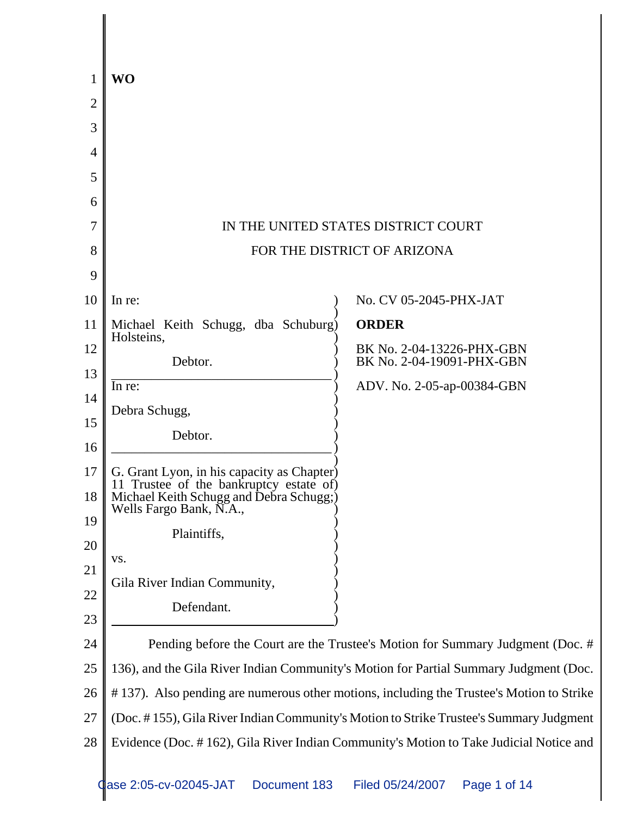| 1              | <b>WO</b>                                                                                                                        |                                                                                          |
|----------------|----------------------------------------------------------------------------------------------------------------------------------|------------------------------------------------------------------------------------------|
| $\overline{2}$ |                                                                                                                                  |                                                                                          |
| 3              |                                                                                                                                  |                                                                                          |
| 4              |                                                                                                                                  |                                                                                          |
| 5              |                                                                                                                                  |                                                                                          |
| 6              |                                                                                                                                  |                                                                                          |
| 7              |                                                                                                                                  | IN THE UNITED STATES DISTRICT COURT                                                      |
| 8              |                                                                                                                                  | FOR THE DISTRICT OF ARIZONA                                                              |
| 9              |                                                                                                                                  |                                                                                          |
| 10             | In re:                                                                                                                           | No. CV 05-2045-PHX-JAT                                                                   |
| 11             | Michael Keith Schugg, dba Schuburg)<br>Holsteins,                                                                                | <b>ORDER</b>                                                                             |
| 12             | Debtor.                                                                                                                          | BK No. 2-04-13226-PHX-GBN<br>BK No. 2-04-19091-PHX-GBN                                   |
| 13             | In re:                                                                                                                           | ADV. No. 2-05-ap-00384-GBN                                                               |
| 14             | Debra Schugg,                                                                                                                    |                                                                                          |
| 15             | Debtor.                                                                                                                          |                                                                                          |
| 16             |                                                                                                                                  |                                                                                          |
| 17             | G. Grant Lyon, in his capacity as Chapter)<br>11 Trustee of the bankruptcy estate of)<br>Michael Keith Schugg and Debra Schugg;) |                                                                                          |
| 18             | Wells Fargo Bank, N.A.                                                                                                           |                                                                                          |
| 19             | Plaintiffs,                                                                                                                      |                                                                                          |
| 20             | VS.                                                                                                                              |                                                                                          |
| 21             | Gila River Indian Community,                                                                                                     |                                                                                          |
| 22             | Defendant.                                                                                                                       |                                                                                          |
| 23             |                                                                                                                                  |                                                                                          |
| 24             |                                                                                                                                  | Pending before the Court are the Trustee's Motion for Summary Judgment (Doc. #           |
| 25             |                                                                                                                                  | 136), and the Gila River Indian Community's Motion for Partial Summary Judgment (Doc.    |
| 26             |                                                                                                                                  | #137). Also pending are numerous other motions, including the Trustee's Motion to Strike |
| 27             |                                                                                                                                  | (Doc. #155), Gila River Indian Community's Motion to Strike Trustee's Summary Judgment   |
| 28             |                                                                                                                                  | Evidence (Doc. #162), Gila River Indian Community's Motion to Take Judicial Notice and   |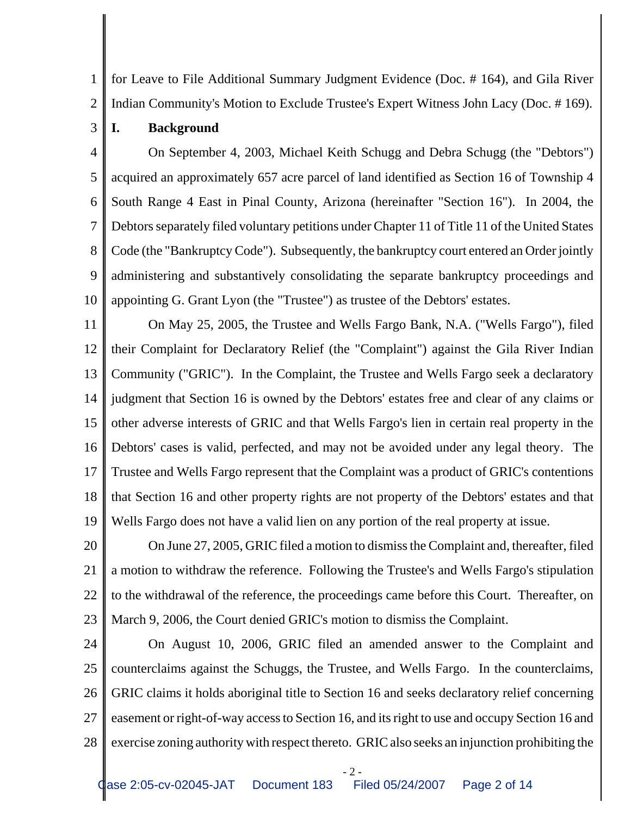1 2 for Leave to File Additional Summary Judgment Evidence (Doc. # 164), and Gila River Indian Community's Motion to Exclude Trustee's Expert Witness John Lacy (Doc. # 169).

**I. Background**

3

4 5 6 7 8 9 10 On September 4, 2003, Michael Keith Schugg and Debra Schugg (the "Debtors") acquired an approximately 657 acre parcel of land identified as Section 16 of Township 4 South Range 4 East in Pinal County, Arizona (hereinafter "Section 16"). In 2004, the Debtors separately filed voluntary petitions under Chapter 11 of Title 11 of the United States Code (the "Bankruptcy Code"). Subsequently, the bankruptcy court entered an Order jointly administering and substantively consolidating the separate bankruptcy proceedings and appointing G. Grant Lyon (the "Trustee") as trustee of the Debtors' estates.

11 12 13 14 15 16 17 18 19 On May 25, 2005, the Trustee and Wells Fargo Bank, N.A. ("Wells Fargo"), filed their Complaint for Declaratory Relief (the "Complaint") against the Gila River Indian Community ("GRIC"). In the Complaint, the Trustee and Wells Fargo seek a declaratory judgment that Section 16 is owned by the Debtors' estates free and clear of any claims or other adverse interests of GRIC and that Wells Fargo's lien in certain real property in the Debtors' cases is valid, perfected, and may not be avoided under any legal theory. The Trustee and Wells Fargo represent that the Complaint was a product of GRIC's contentions that Section 16 and other property rights are not property of the Debtors' estates and that Wells Fargo does not have a valid lien on any portion of the real property at issue.

20 21 22 23 On June 27, 2005, GRIC filed a motion to dismiss the Complaint and, thereafter, filed a motion to withdraw the reference. Following the Trustee's and Wells Fargo's stipulation to the withdrawal of the reference, the proceedings came before this Court. Thereafter, on March 9, 2006, the Court denied GRIC's motion to dismiss the Complaint.

24 25 26 27 28 On August 10, 2006, GRIC filed an amended answer to the Complaint and counterclaims against the Schuggs, the Trustee, and Wells Fargo. In the counterclaims, GRIC claims it holds aboriginal title to Section 16 and seeks declaratory relief concerning easement or right-of-way access to Section 16, and its right to use and occupy Section 16 and exercise zoning authority with respect thereto. GRIC also seeks an injunction prohibiting the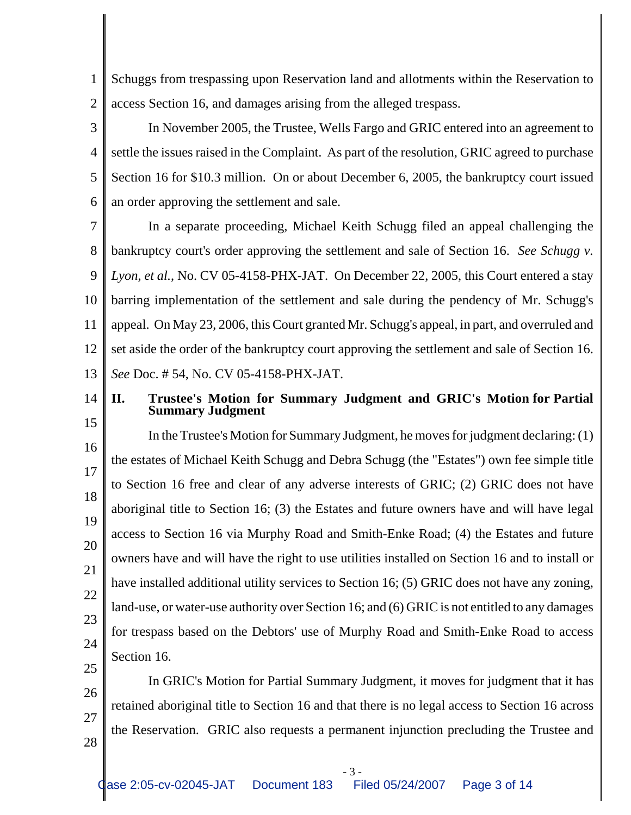1 2 Schuggs from trespassing upon Reservation land and allotments within the Reservation to access Section 16, and damages arising from the alleged trespass.

3 4 5 6 In November 2005, the Trustee, Wells Fargo and GRIC entered into an agreement to settle the issues raised in the Complaint. As part of the resolution, GRIC agreed to purchase Section 16 for \$10.3 million. On or about December 6, 2005, the bankruptcy court issued an order approving the settlement and sale.

7 8 9 10 11 12 13 In a separate proceeding, Michael Keith Schugg filed an appeal challenging the bankruptcy court's order approving the settlement and sale of Section 16. *See Schugg v. Lyon, et al.*, No. CV 05-4158-PHX-JAT. On December 22, 2005, this Court entered a stay barring implementation of the settlement and sale during the pendency of Mr. Schugg's appeal. On May 23, 2006, this Court granted Mr. Schugg's appeal, in part, and overruled and set aside the order of the bankruptcy court approving the settlement and sale of Section 16. *See* Doc. # 54, No. CV 05-4158-PHX-JAT.

14 15

## **II. Trustee's Motion for Summary Judgment and GRIC's Motion for Partial Summary Judgment**

16 17 18 19 20 21 22 23 24 25 In the Trustee's Motion for Summary Judgment, he moves for judgment declaring: (1) the estates of Michael Keith Schugg and Debra Schugg (the "Estates") own fee simple title to Section 16 free and clear of any adverse interests of GRIC; (2) GRIC does not have aboriginal title to Section 16; (3) the Estates and future owners have and will have legal access to Section 16 via Murphy Road and Smith-Enke Road; (4) the Estates and future owners have and will have the right to use utilities installed on Section 16 and to install or have installed additional utility services to Section 16; (5) GRIC does not have any zoning, land-use, or water-use authority over Section 16; and (6) GRIC is not entitled to any damages for trespass based on the Debtors' use of Murphy Road and Smith-Enke Road to access Section 16.

26 27 28 In GRIC's Motion for Partial Summary Judgment, it moves for judgment that it has retained aboriginal title to Section 16 and that there is no legal access to Section 16 across the Reservation. GRIC also requests a permanent injunction precluding the Trustee and

- 3 -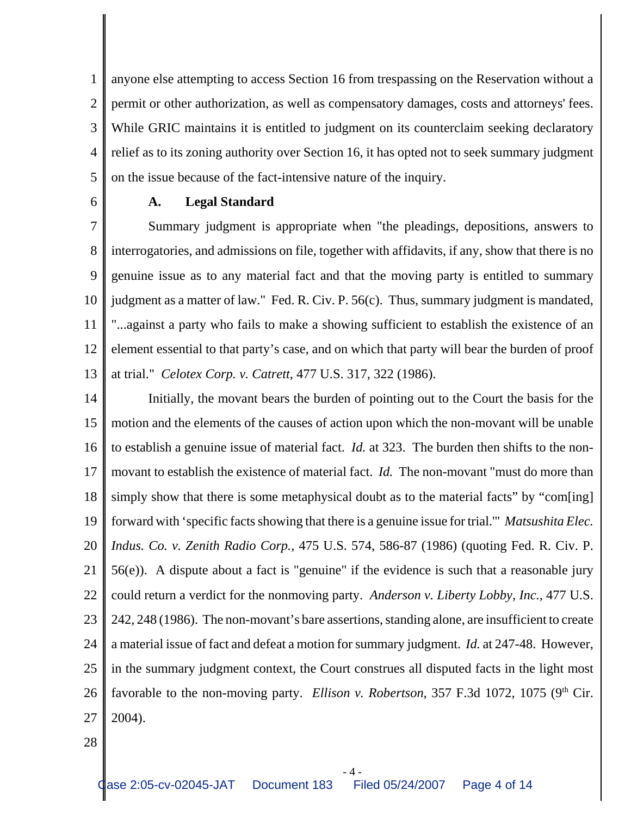1 2 3 4 5 anyone else attempting to access Section 16 from trespassing on the Reservation without a permit or other authorization, as well as compensatory damages, costs and attorneys' fees. While GRIC maintains it is entitled to judgment on its counterclaim seeking declaratory relief as to its zoning authority over Section 16, it has opted not to seek summary judgment on the issue because of the fact-intensive nature of the inquiry.

6

#### **A. Legal Standard**

7 8 9 10 11 12 13 Summary judgment is appropriate when "the pleadings, depositions, answers to interrogatories, and admissions on file, together with affidavits, if any, show that there is no genuine issue as to any material fact and that the moving party is entitled to summary judgment as a matter of law." Fed. R. Civ. P. 56(c). Thus, summary judgment is mandated, "...against a party who fails to make a showing sufficient to establish the existence of an element essential to that party's case, and on which that party will bear the burden of proof at trial." *Celotex Corp. v. Catrett*, 477 U.S. 317, 322 (1986).

14 15 16 17 18 19 20 21 22 23 24 25 26 27 Initially, the movant bears the burden of pointing out to the Court the basis for the motion and the elements of the causes of action upon which the non-movant will be unable to establish a genuine issue of material fact. *Id.* at 323. The burden then shifts to the nonmovant to establish the existence of material fact. *Id.* The non-movant "must do more than simply show that there is some metaphysical doubt as to the material facts" by "com[ing] forward with 'specific facts showing that there is a genuine issue for trial.'" *Matsushita Elec. Indus. Co. v. Zenith Radio Corp.*, 475 U.S. 574, 586-87 (1986) (quoting Fed. R. Civ. P. 56(e)). A dispute about a fact is "genuine" if the evidence is such that a reasonable jury could return a verdict for the nonmoving party. *Anderson v. Liberty Lobby, Inc.*, 477 U.S. 242, 248 (1986). The non-movant's bare assertions, standing alone, are insufficient to create a material issue of fact and defeat a motion for summary judgment. *Id.* at 247-48. However, in the summary judgment context, the Court construes all disputed facts in the light most favorable to the non-moving party. *Ellison v. Robertson*, 357 F.3d 1072, 1075 ( $9<sup>th</sup>$  Cir. 2004).

28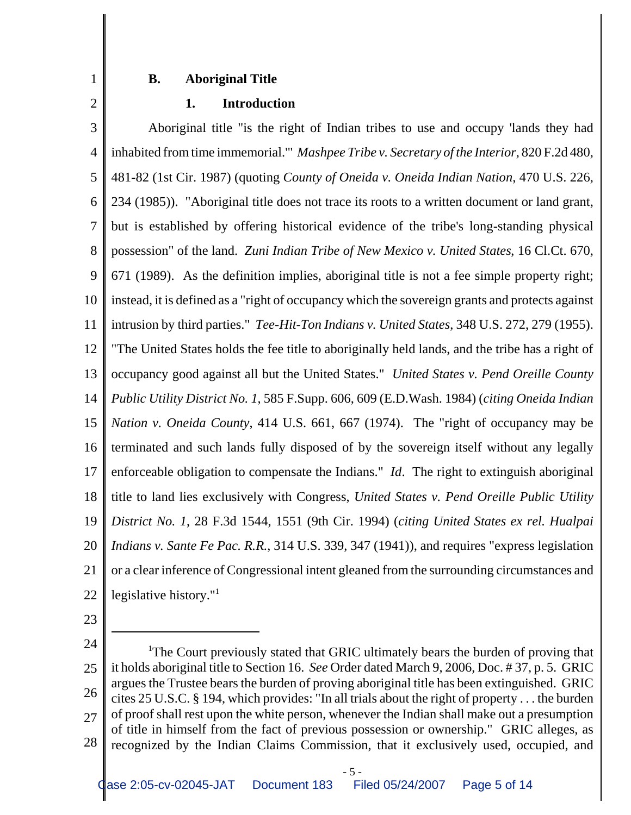#### **B. Aboriginal Title**

2

1

#### **1. Introduction**

3 4 5 6 7 8 9 10 11 12 13 14 15 16 17 18 19 20 21 22 Aboriginal title "is the right of Indian tribes to use and occupy 'lands they had inhabited from time immemorial.'" *Mashpee Tribe v. Secretary of the Interior*, 820 F.2d 480, 481-82 (1st Cir. 1987) (quoting *County of Oneida v. Oneida Indian Nation*, 470 U.S. 226, 234 (1985)). "Aboriginal title does not trace its roots to a written document or land grant, but is established by offering historical evidence of the tribe's long-standing physical possession" of the land. *Zuni Indian Tribe of New Mexico v. United States*, 16 Cl.Ct. 670, 671 (1989). As the definition implies, aboriginal title is not a fee simple property right; instead, it is defined as a "right of occupancy which the sovereign grants and protects against intrusion by third parties." *Tee-Hit-Ton Indians v. United States*, 348 U.S. 272, 279 (1955). "The United States holds the fee title to aboriginally held lands, and the tribe has a right of occupancy good against all but the United States." *United States v. Pend Oreille County Public Utility District No. 1*, 585 F.Supp. 606, 609 (E.D.Wash. 1984) (*citing Oneida Indian Nation v. Oneida County*, 414 U.S. 661, 667 (1974). The "right of occupancy may be terminated and such lands fully disposed of by the sovereign itself without any legally enforceable obligation to compensate the Indians." *Id*. The right to extinguish aboriginal title to land lies exclusively with Congress, *United States v. Pend Oreille Public Utility District No. 1*, 28 F.3d 1544, 1551 (9th Cir. 1994) (*citing United States ex rel. Hualpai Indians v. Sante Fe Pac. R.R.*, 314 U.S. 339, 347 (1941)), and requires "express legislation or a clear inference of Congressional intent gleaned from the surrounding circumstances and legislative history."<sup>1</sup>

23

<sup>24</sup> 25 26 27 28 <sup>1</sup>The Court previously stated that GRIC ultimately bears the burden of proving that it holds aboriginal title to Section 16. *See* Order dated March 9, 2006, Doc. # 37, p. 5. GRIC argues the Trustee bears the burden of proving aboriginal title has been extinguished. GRIC cites 25 U.S.C. § 194, which provides: "In all trials about the right of property . . . the burden of proof shall rest upon the white person, whenever the Indian shall make out a presumption of title in himself from the fact of previous possession or ownership." GRIC alleges, as recognized by the Indian Claims Commission, that it exclusively used, occupied, and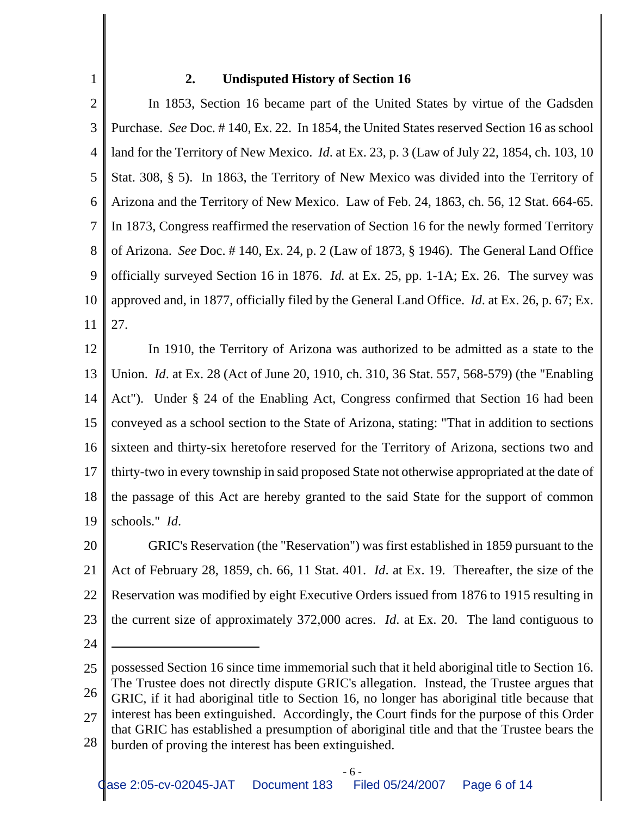### **2. Undisputed History of Section 16**

2 3 4 5 6 7 8 9 10 11 In 1853, Section 16 became part of the United States by virtue of the Gadsden Purchase. *See* Doc. # 140, Ex. 22. In 1854, the United States reserved Section 16 as school land for the Territory of New Mexico. *Id*. at Ex. 23, p. 3 (Law of July 22, 1854, ch. 103, 10 Stat. 308, § 5). In 1863, the Territory of New Mexico was divided into the Territory of Arizona and the Territory of New Mexico. Law of Feb. 24, 1863, ch. 56, 12 Stat. 664-65. In 1873, Congress reaffirmed the reservation of Section 16 for the newly formed Territory of Arizona. *See* Doc. # 140, Ex. 24, p. 2 (Law of 1873, § 1946). The General Land Office officially surveyed Section 16 in 1876. *Id.* at Ex. 25, pp. 1-1A; Ex. 26. The survey was approved and, in 1877, officially filed by the General Land Office. *Id*. at Ex. 26, p. 67; Ex. 27.

12 13 14 15 16 17 18 19 In 1910, the Territory of Arizona was authorized to be admitted as a state to the Union. *Id*. at Ex. 28 (Act of June 20, 1910, ch. 310, 36 Stat. 557, 568-579) (the "Enabling Act"). Under § 24 of the Enabling Act, Congress confirmed that Section 16 had been conveyed as a school section to the State of Arizona, stating: "That in addition to sections sixteen and thirty-six heretofore reserved for the Territory of Arizona, sections two and thirty-two in every township in said proposed State not otherwise appropriated at the date of the passage of this Act are hereby granted to the said State for the support of common schools." *Id*.

20 21 22 23 GRIC's Reservation (the "Reservation") was first established in 1859 pursuant to the Act of February 28, 1859, ch. 66, 11 Stat. 401. *Id*. at Ex. 19. Thereafter, the size of the Reservation was modified by eight Executive Orders issued from 1876 to 1915 resulting in the current size of approximately 372,000 acres. *Id*. at Ex. 20. The land contiguous to

24

1

25 26 27 28 possessed Section 16 since time immemorial such that it held aboriginal title to Section 16. The Trustee does not directly dispute GRIC's allegation. Instead, the Trustee argues that GRIC, if it had aboriginal title to Section 16, no longer has aboriginal title because that interest has been extinguished. Accordingly, the Court finds for the purpose of this Order that GRIC has established a presumption of aboriginal title and that the Trustee bears the burden of proving the interest has been extinguished.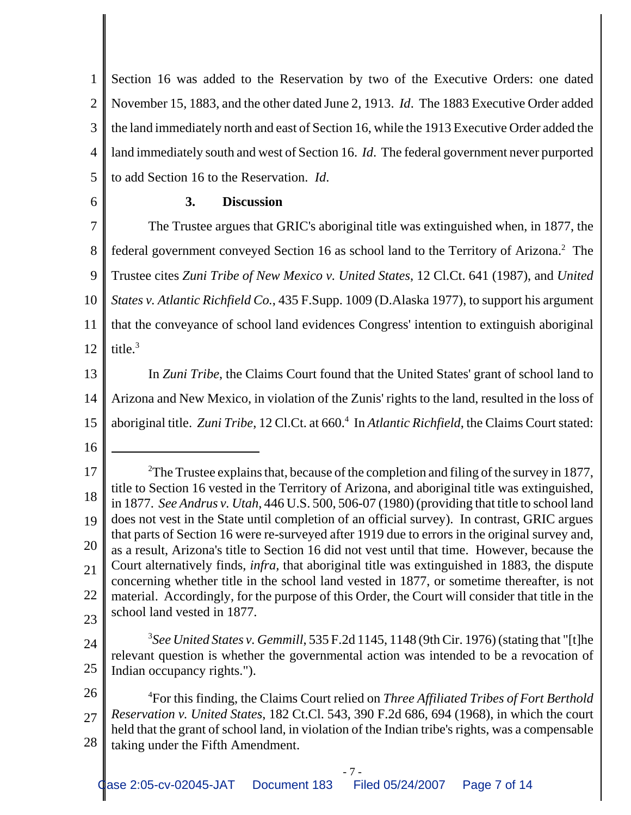1 2 3 4 5 Section 16 was added to the Reservation by two of the Executive Orders: one dated November 15, 1883, and the other dated June 2, 1913. *Id*. The 1883 Executive Order added the land immediately north and east of Section 16, while the 1913 Executive Order added the land immediately south and west of Section 16. *Id*. The federal government never purported to add Section 16 to the Reservation. *Id*.

6

#### **3. Discussion**

7 8 9 10 11 12 The Trustee argues that GRIC's aboriginal title was extinguished when, in 1877, the federal government conveyed Section 16 as school land to the Territory of Arizona.<sup>2</sup> The Trustee cites *Zuni Tribe of New Mexico v. United States*, 12 Cl.Ct. 641 (1987), and *United States v. Atlantic Richfield Co.*, 435 F.Supp. 1009 (D.Alaska 1977), to support his argument that the conveyance of school land evidences Congress' intention to extinguish aboriginal title. $3$ 

13 14 15 In *Zuni Tribe*, the Claims Court found that the United States' grant of school land to Arizona and New Mexico, in violation of the Zunis' rights to the land, resulted in the loss of aboriginal title. Zuni Tribe, 12 Cl.Ct. at 660.<sup>4</sup> In *Atlantic Richfield*, the Claims Court stated:

16

23 24

25 3 *See United States v. Gemmill*, 535 F.2d 1145, 1148 (9th Cir. 1976) (stating that "[t]he relevant question is whether the governmental action was intended to be a revocation of Indian occupancy rights.").

26

27 28 4 For this finding, the Claims Court relied on *Three Affiliated Tribes of Fort Berthold Reservation v. United States*, 182 Ct.Cl. 543, 390 F.2d 686, 694 (1968), in which the court held that the grant of school land, in violation of the Indian tribe's rights, was a compensable taking under the Fifth Amendment.

<sup>17</sup> 18 19 20 21 22 <sup>2</sup>The Trustee explains that, because of the completion and filing of the survey in 1877, title to Section 16 vested in the Territory of Arizona, and aboriginal title was extinguished, in 1877. *See Andrus v. Utah*, 446 U.S. 500, 506-07 (1980) (providing that title to school land does not vest in the State until completion of an official survey). In contrast, GRIC argues that parts of Section 16 were re-surveyed after 1919 due to errors in the original survey and, as a result, Arizona's title to Section 16 did not vest until that time. However, because the Court alternatively finds, *infra,* that aboriginal title was extinguished in 1883, the dispute concerning whether title in the school land vested in 1877, or sometime thereafter, is not material. Accordingly, for the purpose of this Order, the Court will consider that title in the school land vested in 1877.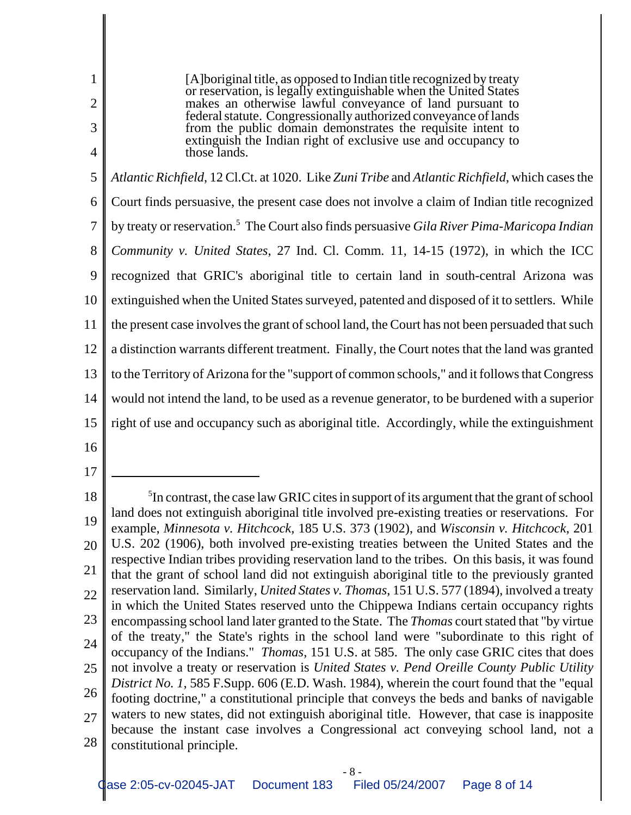1 2 3 4 5 6 7 8 9 10 11 12 13 14 15 16 17 18 19 20 21 22 23 24 25 <sup>5</sup>In contrast, the case law GRIC cites in support of its argument that the grant of school land does not extinguish aboriginal title involved pre-existing treaties or reservations. For example, *Minnesota v. Hitchcock*, 185 U.S. 373 (1902), and *Wisconsin v. Hitchcock*, 201 U.S. 202 (1906), both involved pre-existing treaties between the United States and the respective Indian tribes providing reservation land to the tribes. On this basis, it was found that the grant of school land did not extinguish aboriginal title to the previously granted reservation land. Similarly, *United States v. Thomas*, 151 U.S. 577 (1894), involved a treaty in which the United States reserved unto the Chippewa Indians certain occupancy rights encompassing school land later granted to the State. The *Thomas* court stated that "by virtue of the treaty," the State's rights in the school land were "subordinate to this right of occupancy of the Indians." *Thomas*, 151 U.S. at 585. The only case GRIC cites that does not involve a treaty or reservation is *United States v. Pend Oreille County Public Utility District No. 1*, 585 F.Supp. 606 (E.D. Wash. 1984), wherein the court found that the "equal [A]boriginal title, as opposed to Indian title recognized by treaty or reservation, is legally extinguishable when the United States makes an otherwise lawful conveyance of land pursuant to federal statute. Congressionally authorized conveyance of lands from the public domain demonstrates the requisite intent to extinguish the Indian right of exclusive use and occupancy to those lands. *Atlantic Richfield*, 12 Cl.Ct. at 1020. Like *Zuni Tribe* and *Atlantic Richfield*, which cases the Court finds persuasive, the present case does not involve a claim of Indian title recognized by treaty or reservation.5 The Court also finds persuasive *Gila River Pima-Maricopa Indian Community v. United States*, 27 Ind. Cl. Comm. 11, 14-15 (1972), in which the ICC recognized that GRIC's aboriginal title to certain land in south-central Arizona was extinguished when the United States surveyed, patented and disposed of it to settlers. While the present case involves the grant of school land, the Court has not been persuaded that such a distinction warrants different treatment. Finally, the Court notes that the land was granted to the Territory of Arizona for the "support of common schools," and it follows that Congress would not intend the land, to be used as a revenue generator, to be burdened with a superior right of use and occupancy such as aboriginal title. Accordingly, while the extinguishment

26 27 28 footing doctrine," a constitutional principle that conveys the beds and banks of navigable waters to new states, did not extinguish aboriginal title. However, that case is inapposite because the instant case involves a Congressional act conveying school land, not a constitutional principle.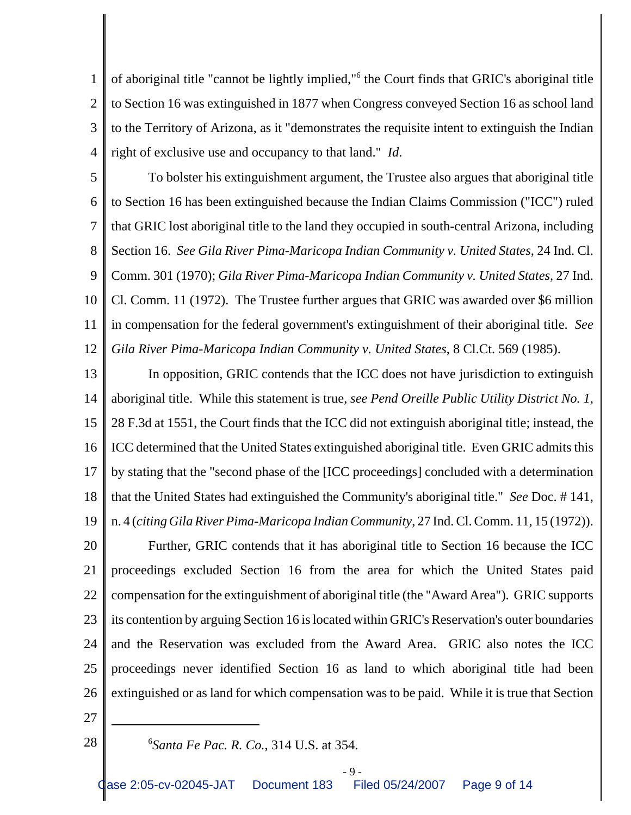1 2 3 4 of aboriginal title "cannot be lightly implied,"<sup>6</sup> the Court finds that GRIC's aboriginal title to Section 16 was extinguished in 1877 when Congress conveyed Section 16 as school land to the Territory of Arizona, as it "demonstrates the requisite intent to extinguish the Indian right of exclusive use and occupancy to that land." *Id*.

5 6 7 8 9 10 11 12 To bolster his extinguishment argument, the Trustee also argues that aboriginal title to Section 16 has been extinguished because the Indian Claims Commission ("ICC") ruled that GRIC lost aboriginal title to the land they occupied in south-central Arizona, including Section 16. *See Gila River Pima-Maricopa Indian Community v. United States*, 24 Ind. Cl. Comm. 301 (1970); *Gila River Pima-Maricopa Indian Community v. United States*, 27 Ind. Cl. Comm. 11 (1972). The Trustee further argues that GRIC was awarded over \$6 million in compensation for the federal government's extinguishment of their aboriginal title. *See Gila River Pima-Maricopa Indian Community v. United States*, 8 Cl.Ct. 569 (1985).

13 14 15 16 17 18 19 20 21 22 23 24 In opposition, GRIC contends that the ICC does not have jurisdiction to extinguish aboriginal title. While this statement is true, *see Pend Oreille Public Utility District No. 1*, 28 F.3d at 1551, the Court finds that the ICC did not extinguish aboriginal title; instead, the ICC determined that the United States extinguished aboriginal title. Even GRIC admits this by stating that the "second phase of the [ICC proceedings] concluded with a determination that the United States had extinguished the Community's aboriginal title." *See* Doc. # 141, n. 4 (*citing Gila River Pima-Maricopa Indian Community*, 27 Ind. Cl. Comm. 11, 15 (1972)). Further, GRIC contends that it has aboriginal title to Section 16 because the ICC proceedings excluded Section 16 from the area for which the United States paid compensation for the extinguishment of aboriginal title (the "Award Area"). GRIC supports its contention by arguing Section 16 is located within GRIC's Reservation's outer boundaries and the Reservation was excluded from the Award Area. GRIC also notes the ICC

26

25

- 27
- 28

proceedings never identified Section 16 as land to which aboriginal title had been

extinguished or as land for which compensation was to be paid. While it is true that Section

*Santa Fe Pac. R. Co.*, 314 U.S. at 354.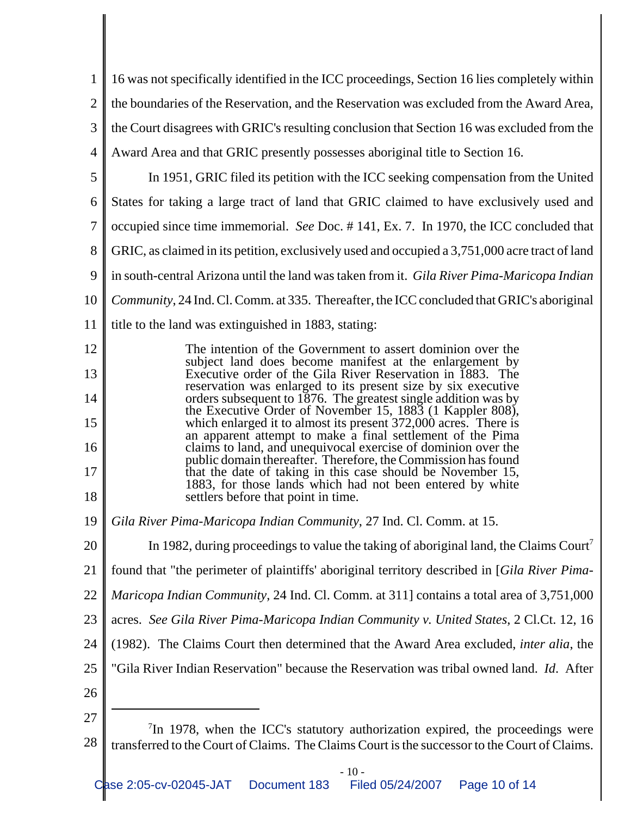| 1              | 16 was not specifically identified in the ICC proceedings, Section 16 lies completely within                                                                                               |  |  |
|----------------|--------------------------------------------------------------------------------------------------------------------------------------------------------------------------------------------|--|--|
| $\overline{2}$ | the boundaries of the Reservation, and the Reservation was excluded from the Award Area,                                                                                                   |  |  |
| 3              | the Court disagrees with GRIC's resulting conclusion that Section 16 was excluded from the                                                                                                 |  |  |
| 4              | Award Area and that GRIC presently possesses aboriginal title to Section 16.                                                                                                               |  |  |
| 5              | In 1951, GRIC filed its petition with the ICC seeking compensation from the United                                                                                                         |  |  |
| 6              | States for taking a large tract of land that GRIC claimed to have exclusively used and                                                                                                     |  |  |
| 7              | occupied since time immemorial. See Doc. #141, Ex. 7. In 1970, the ICC concluded that                                                                                                      |  |  |
| 8              | GRIC, as claimed in its petition, exclusively used and occupied a 3,751,000 acre tract of land                                                                                             |  |  |
| 9              | in south-central Arizona until the land was taken from it. Gila River Pima-Maricopa Indian                                                                                                 |  |  |
| 10             | Community, 24 Ind. Cl. Comm. at 335. Thereafter, the ICC concluded that GRIC's aboriginal                                                                                                  |  |  |
| 11             | title to the land was extinguished in 1883, stating:                                                                                                                                       |  |  |
| 12             | The intention of the Government to assert dominion over the                                                                                                                                |  |  |
| 13             | subject land does become manifest at the enlargement by<br>Executive order of the Gila River Reservation in 1883. The                                                                      |  |  |
| 14             | reservation was enlarged to its present size by six executive<br>orders subsequent to 1876. The greatest single addition was by                                                            |  |  |
| 15             | the Executive Order of November 15, 1883 (1 Kappler 808),<br>which enlarged it to almost its present 372,000 acres. There is<br>an apparent attempt to make a final settlement of the Pima |  |  |
| 16             | claims to land, and unequivocal exercise of dominion over the<br>public domain thereafter. Therefore, the Commission has found                                                             |  |  |
| 17             | that the date of taking in this case should be November 15,<br>1883, for those lands which had not been entered by white                                                                   |  |  |
| 18             | settlers before that point in time.                                                                                                                                                        |  |  |
| 19             | Gila River Pima-Maricopa Indian Community, 27 Ind. Cl. Comm. at 15.                                                                                                                        |  |  |
| 20             | In 1982, during proceedings to value the taking of aboriginal land, the Claims Court <sup>7</sup>                                                                                          |  |  |
| 21             | found that "the perimeter of plaintiffs' aboriginal territory described in [Gila River Pima-                                                                                               |  |  |
| 22             | <i>Maricopa Indian Community, 24 Ind. Cl. Comm. at 311] contains a total area of 3,751,000</i>                                                                                             |  |  |
| 23             | acres. See Gila River Pima-Maricopa Indian Community v. United States, 2 Cl.Ct. 12, 16                                                                                                     |  |  |
| 24             | (1982). The Claims Court then determined that the Award Area excluded, <i>inter alia</i> , the                                                                                             |  |  |
| 25             | "Gila River Indian Reservation" because the Reservation was tribal owned land. Id. After                                                                                                   |  |  |
| 26             |                                                                                                                                                                                            |  |  |
| 27             | $7$ In 1978, when the ICC's statutory authorization expired, the proceedings were                                                                                                          |  |  |
| 28             | transferred to the Court of Claims. The Claims Court is the successor to the Court of Claims.                                                                                              |  |  |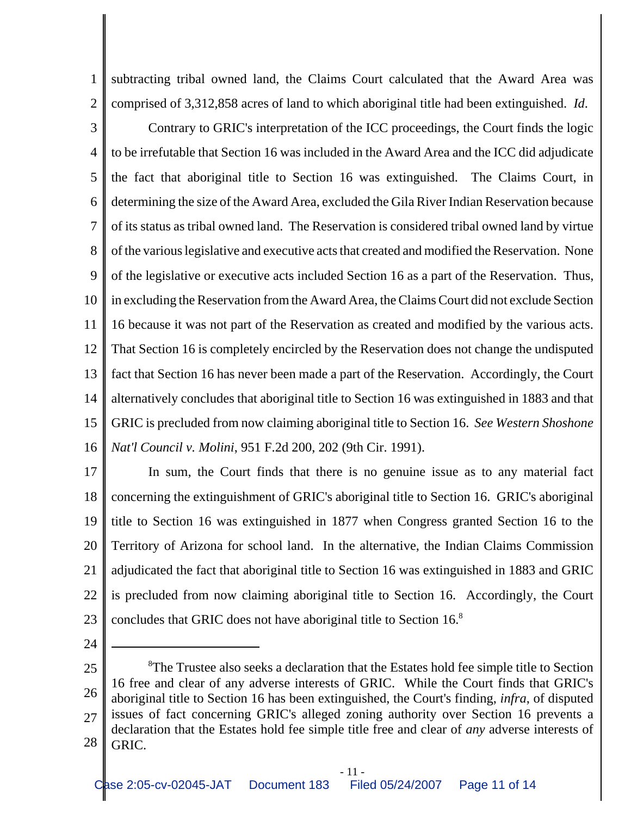1 2 subtracting tribal owned land, the Claims Court calculated that the Award Area was comprised of 3,312,858 acres of land to which aboriginal title had been extinguished. *Id*.

3 4 5 6 7 8 9 10 11 12 13 14 15 16 Contrary to GRIC's interpretation of the ICC proceedings, the Court finds the logic to be irrefutable that Section 16 was included in the Award Area and the ICC did adjudicate the fact that aboriginal title to Section 16 was extinguished. The Claims Court, in determining the size of the Award Area, excluded the Gila River Indian Reservation because of its status as tribal owned land. The Reservation is considered tribal owned land by virtue of the various legislative and executive acts that created and modified the Reservation. None of the legislative or executive acts included Section 16 as a part of the Reservation. Thus, in excluding the Reservation from the Award Area, the Claims Court did not exclude Section 16 because it was not part of the Reservation as created and modified by the various acts. That Section 16 is completely encircled by the Reservation does not change the undisputed fact that Section 16 has never been made a part of the Reservation. Accordingly, the Court alternatively concludes that aboriginal title to Section 16 was extinguished in 1883 and that GRIC is precluded from now claiming aboriginal title to Section 16. *See Western Shoshone Nat'l Council v. Molini*, 951 F.2d 200, 202 (9th Cir. 1991).

17 18 19 20 21 22 23 In sum, the Court finds that there is no genuine issue as to any material fact concerning the extinguishment of GRIC's aboriginal title to Section 16. GRIC's aboriginal title to Section 16 was extinguished in 1877 when Congress granted Section 16 to the Territory of Arizona for school land. In the alternative, the Indian Claims Commission adjudicated the fact that aboriginal title to Section 16 was extinguished in 1883 and GRIC is precluded from now claiming aboriginal title to Section 16. Accordingly, the Court concludes that GRIC does not have aboriginal title to Section 16.<sup>8</sup>

24

25 26 27 28 <sup>8</sup>The Trustee also seeks a declaration that the Estates hold fee simple title to Section 16 free and clear of any adverse interests of GRIC. While the Court finds that GRIC's aboriginal title to Section 16 has been extinguished, the Court's finding, *infra*, of disputed issues of fact concerning GRIC's alleged zoning authority over Section 16 prevents a declaration that the Estates hold fee simple title free and clear of *any* adverse interests of GRIC.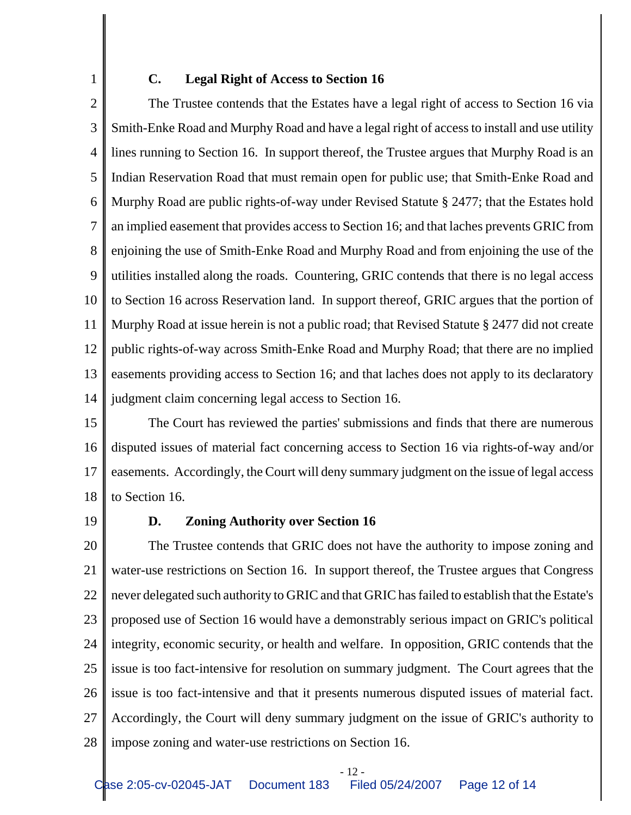# 1

#### **C. Legal Right of Access to Section 16**

2 3 4 5 6 7 8 9 10 11 12 13 14 The Trustee contends that the Estates have a legal right of access to Section 16 via Smith-Enke Road and Murphy Road and have a legal right of access to install and use utility lines running to Section 16. In support thereof, the Trustee argues that Murphy Road is an Indian Reservation Road that must remain open for public use; that Smith-Enke Road and Murphy Road are public rights-of-way under Revised Statute § 2477; that the Estates hold an implied easement that provides access to Section 16; and that laches prevents GRIC from enjoining the use of Smith-Enke Road and Murphy Road and from enjoining the use of the utilities installed along the roads. Countering, GRIC contends that there is no legal access to Section 16 across Reservation land. In support thereof, GRIC argues that the portion of Murphy Road at issue herein is not a public road; that Revised Statute § 2477 did not create public rights-of-way across Smith-Enke Road and Murphy Road; that there are no implied easements providing access to Section 16; and that laches does not apply to its declaratory judgment claim concerning legal access to Section 16.

15 16 17 18 The Court has reviewed the parties' submissions and finds that there are numerous disputed issues of material fact concerning access to Section 16 via rights-of-way and/or easements. Accordingly, the Court will deny summary judgment on the issue of legal access to Section 16.

19

### **D. Zoning Authority over Section 16**

20 21 22 23 24 25 26 27 28 The Trustee contends that GRIC does not have the authority to impose zoning and water-use restrictions on Section 16. In support thereof, the Trustee argues that Congress never delegated such authority to GRIC and that GRIC has failed to establish that the Estate's proposed use of Section 16 would have a demonstrably serious impact on GRIC's political integrity, economic security, or health and welfare. In opposition, GRIC contends that the issue is too fact-intensive for resolution on summary judgment. The Court agrees that the issue is too fact-intensive and that it presents numerous disputed issues of material fact. Accordingly, the Court will deny summary judgment on the issue of GRIC's authority to impose zoning and water-use restrictions on Section 16.

- 12 -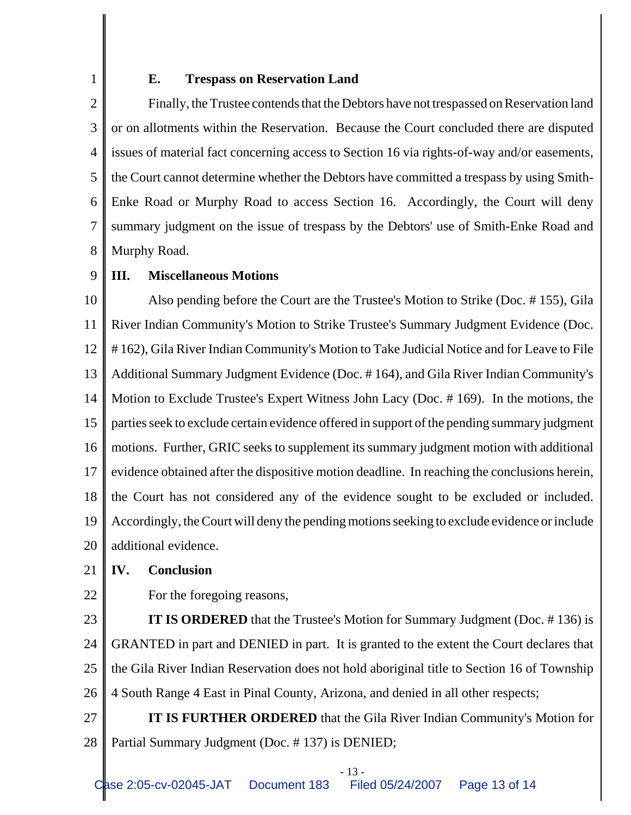1

#### **E. Trespass on Reservation Land**

2 3 4 5 6 7 8 Finally, the Trustee contends that the Debtors have not trespassed on Reservation land or on allotments within the Reservation. Because the Court concluded there are disputed issues of material fact concerning access to Section 16 via rights-of-way and/or easements, the Court cannot determine whether the Debtors have committed a trespass by using Smith-Enke Road or Murphy Road to access Section 16. Accordingly, the Court will deny summary judgment on the issue of trespass by the Debtors' use of Smith-Enke Road and Murphy Road.

#### 9 **III. Miscellaneous Motions**

10 11 12 13 14 15 16 17 18 19 20 Also pending before the Court are the Trustee's Motion to Strike (Doc. # 155), Gila River Indian Community's Motion to Strike Trustee's Summary Judgment Evidence (Doc. # 162), Gila River Indian Community's Motion to Take Judicial Notice and for Leave to File Additional Summary Judgment Evidence (Doc. # 164), and Gila River Indian Community's Motion to Exclude Trustee's Expert Witness John Lacy (Doc. # 169). In the motions, the parties seek to exclude certain evidence offered in support of the pending summary judgment motions. Further, GRIC seeks to supplement its summary judgment motion with additional evidence obtained after the dispositive motion deadline. In reaching the conclusions herein, the Court has not considered any of the evidence sought to be excluded or included. Accordingly, the Court will deny the pending motions seeking to exclude evidence or include additional evidence.

#### 21 **IV. Conclusion**

22

For the foregoing reasons,

23 24 25 26 **IT IS ORDERED** that the Trustee's Motion for Summary Judgment (Doc. #136) is GRANTED in part and DENIED in part. It is granted to the extent the Court declares that the Gila River Indian Reservation does not hold aboriginal title to Section 16 of Township 4 South Range 4 East in Pinal County, Arizona, and denied in all other respects;

27 28 **IT IS FURTHER ORDERED** that the Gila River Indian Community's Motion for Partial Summary Judgment (Doc. # 137) is DENIED;